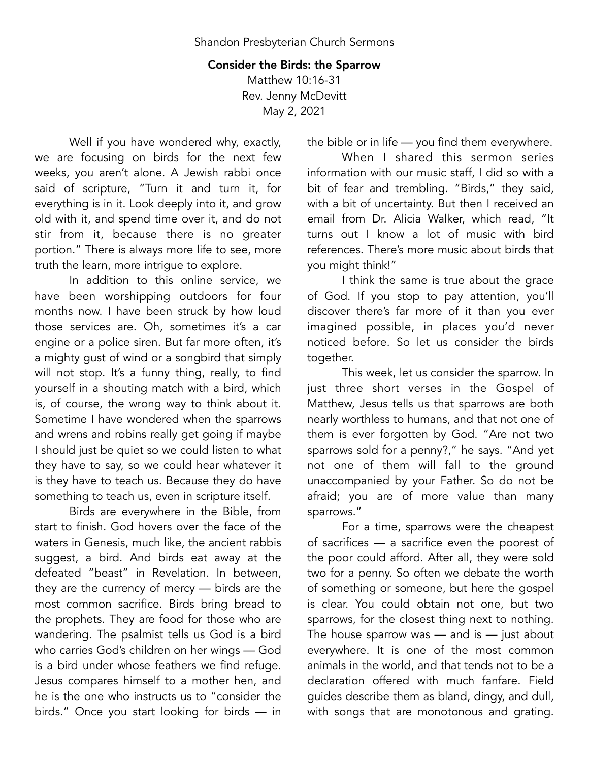## Consider the Birds: the Sparrow Matthew 10:16-31 Rev. Jenny McDevitt May 2, 2021

Well if you have wondered why, exactly, we are focusing on birds for the next few weeks, you aren't alone. A Jewish rabbi once said of scripture, "Turn it and turn it, for everything is in it. Look deeply into it, and grow old with it, and spend time over it, and do not stir from it, because there is no greater portion." There is always more life to see, more truth the learn, more intrigue to explore.

In addition to this online service, we have been worshipping outdoors for four months now. I have been struck by how loud those services are. Oh, sometimes it's a car engine or a police siren. But far more often, it's a mighty gust of wind or a songbird that simply will not stop. It's a funny thing, really, to find yourself in a shouting match with a bird, which is, of course, the wrong way to think about it. Sometime I have wondered when the sparrows and wrens and robins really get going if maybe I should just be quiet so we could listen to what they have to say, so we could hear whatever it is they have to teach us. Because they do have something to teach us, even in scripture itself.

Birds are everywhere in the Bible, from start to finish. God hovers over the face of the waters in Genesis, much like, the ancient rabbis suggest, a bird. And birds eat away at the defeated "beast" in Revelation. In between, they are the currency of mercy — birds are the most common sacrifice. Birds bring bread to the prophets. They are food for those who are wandering. The psalmist tells us God is a bird who carries God's children on her wings — God is a bird under whose feathers we find refuge. Jesus compares himself to a mother hen, and he is the one who instructs us to "consider the birds." Once you start looking for birds — in the bible or in life — you find them everywhere.

When I shared this sermon series information with our music staff, I did so with a bit of fear and trembling. "Birds," they said, with a bit of uncertainty. But then I received an email from Dr. Alicia Walker, which read, "It turns out I know a lot of music with bird references. There's more music about birds that you might think!"

I think the same is true about the grace of God. If you stop to pay attention, you'll discover there's far more of it than you ever imagined possible, in places you'd never noticed before. So let us consider the birds together.

This week, let us consider the sparrow. In just three short verses in the Gospel of Matthew, Jesus tells us that sparrows are both nearly worthless to humans, and that not one of them is ever forgotten by God. "Are not two sparrows sold for a penny?," he says. "And yet not one of them will fall to the ground unaccompanied by your Father. So do not be afraid; you are of more value than many sparrows."

For a time, sparrows were the cheapest of sacrifices — a sacrifice even the poorest of the poor could afford. After all, they were sold two for a penny. So often we debate the worth of something or someone, but here the gospel is clear. You could obtain not one, but two sparrows, for the closest thing next to nothing. The house sparrow was  $-$  and is  $-$  just about everywhere. It is one of the most common animals in the world, and that tends not to be a declaration offered with much fanfare. Field guides describe them as bland, dingy, and dull, with songs that are monotonous and grating.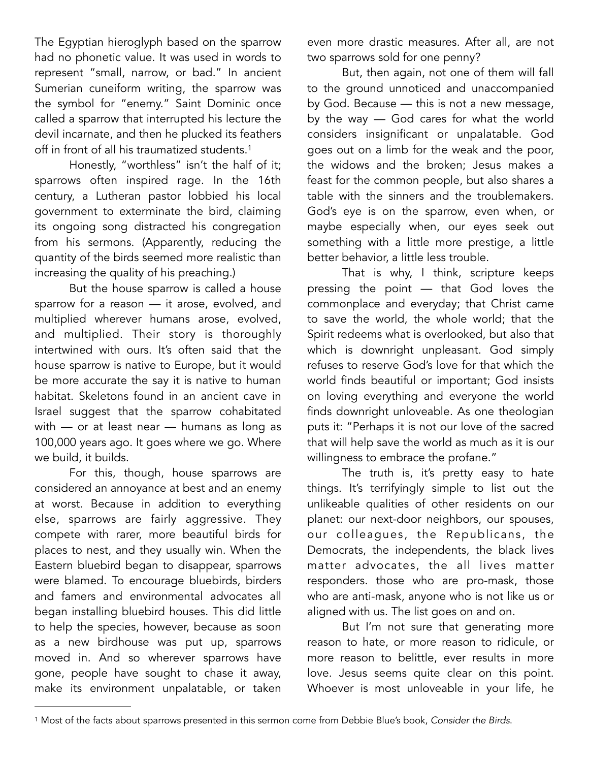The Egyptian hieroglyph based on the sparrow had no phonetic value. It was used in words to represent "small, narrow, or bad." In ancient Sumerian cuneiform writing, the sparrow was the symbol for "enemy." Saint Dominic once called a sparrow that interrupted his lecture the devil incarnate, and then he plucked its feathers off in front of all his traumatized students.[1](#page-1-0)

Honestly, "worthless" isn't the half of it; sparrows often inspired rage. In the 16th century, a Lutheran pastor lobbied his local government to exterminate the bird, claiming its ongoing song distracted his congregation from his sermons. (Apparently, reducing the quantity of the birds seemed more realistic than increasing the quality of his preaching.)

But the house sparrow is called a house sparrow for a reason — it arose, evolved, and multiplied wherever humans arose, evolved, and multiplied. Their story is thoroughly intertwined with ours. It's often said that the house sparrow is native to Europe, but it would be more accurate the say it is native to human habitat. Skeletons found in an ancient cave in Israel suggest that the sparrow cohabitated with — or at least near — humans as long as 100,000 years ago. It goes where we go. Where we build, it builds.

For this, though, house sparrows are considered an annoyance at best and an enemy at worst. Because in addition to everything else, sparrows are fairly aggressive. They compete with rarer, more beautiful birds for places to nest, and they usually win. When the Eastern bluebird began to disappear, sparrows were blamed. To encourage bluebirds, birders and famers and environmental advocates all began installing bluebird houses. This did little to help the species, however, because as soon as a new birdhouse was put up, sparrows moved in. And so wherever sparrows have gone, people have sought to chase it away, make its environment unpalatable, or taken

even more drastic measures. After all, are not two sparrows sold for one penny?

<span id="page-1-1"></span>But, then again, not one of them will fall to the ground unnoticed and unaccompanied by God. Because — this is not a new message, by the way — God cares for what the world considers insignificant or unpalatable. God goes out on a limb for the weak and the poor, the widows and the broken; Jesus makes a feast for the common people, but also shares a table with the sinners and the troublemakers. God's eye is on the sparrow, even when, or maybe especially when, our eyes seek out something with a little more prestige, a little better behavior, a little less trouble.

That is why, I think, scripture keeps pressing the point — that God loves the commonplace and everyday; that Christ came to save the world, the whole world; that the Spirit redeems what is overlooked, but also that which is downright unpleasant. God simply refuses to reserve God's love for that which the world finds beautiful or important; God insists on loving everything and everyone the world finds downright unloveable. As one theologian puts it: "Perhaps it is not our love of the sacred that will help save the world as much as it is our willingness to embrace the profane."

The truth is, it's pretty easy to hate things. It's terrifyingly simple to list out the unlikeable qualities of other residents on our planet: our next-door neighbors, our spouses, our colleagues, the Republicans, the Democrats, the independents, the black lives matter advocates, the all lives matter responders. those who are pro-mask, those who are anti-mask, anyone who is not like us or aligned with us. The list goes on and on.

But I'm not sure that generating more reason to hate, or more reason to ridicule, or more reason to belittle, ever results in more love. Jesus seems quite clear on this point. Whoever is most unloveable in your life, he

<span id="page-1-0"></span>Most of the facts about sparrows presented in this sermon come from Debbie Blue's book, *Consider the Birds*. [1](#page-1-1)